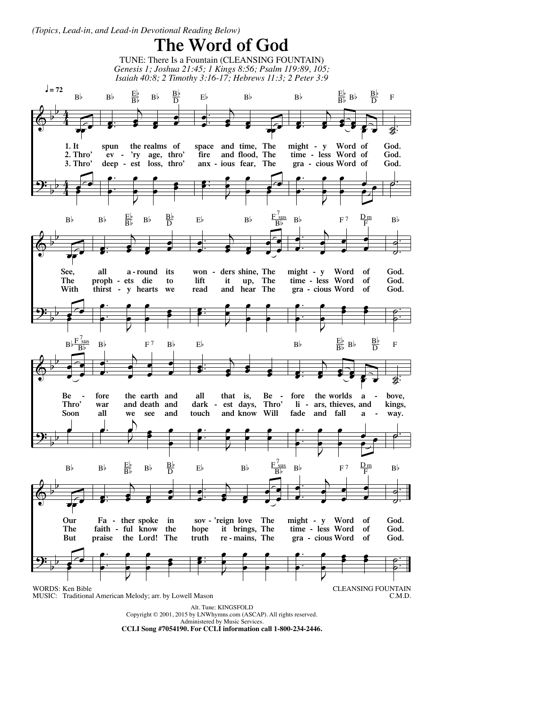*(Topics, Lead-in, and Lead-in Devotional Reading Below)*

## **The Word of God**

 $\pmb{\phi}$ <u>9:</u> b b b b 4 4 4 4 œœ œ **1. It 2. Thro' 3. Thro'** œ  $\overline{\mathbf{e}}$  $B<sub>b</sub>$ .  $\frac{1}{2}$  $\bullet$   $\bullet$ œ  $\overrightarrow{ }$ **e** œ **spun ev - 'ry age, thro' deep - est loss, thro' the realms of** . . œ  $\cdot$  , œ  $\cdot$   $\cdot$  $\stackrel{\bullet}{\cdot}$  : œ  $B^{\flat}$   $\frac{E^{\flat}}{B^{\flat}}$  $\frac{\text{Eb}}{\text{Bb}}$  B<sub>b</sub>  $\frac{\text{Bb}}{\text{D}}$ .  $\bullet$  :  $\cdot$   $\cdot$ œ  $\overrightarrow{ }$  $\frac{1}{\sqrt{2}}$ **space fire anx - ious fear, The and and time, flood, The The** . **.**  $\frac{2}{\sqrt{2}}$ œ  $\frac{e}{2}$ œ œ  $\left\lceil \cdot \right\rceil$  $E<sub>b</sub>$   $B<sub>b</sub>$ .  $\overline{\bullet}$ :  $\bullet$   $\bullet$ œ  $\bullet$ **e**  $\overline{\mathbf{e}}$ F. **might - y time - less Word of gra - cious Word of Word of** . . œ  $\cdot$  , œ  $\frac{1}{\cdot}$  $\overset{\bullet}{\cdot}$ م<br>ص  $B^{\flat}$   $B^{\flat}$   $B^{\flat}$   $B^{\flat}$  $rac{B}{D}$  $\frac{1}{2}$ ˙. **God. God. God.** ˙. F  $\pmb{\phi}$ <u>9:</u> b b b b œœ œ **See, The With** œ  $\leftarrow$  $B<sup>b</sup>$ .  $\frac{1}{2}$ œ j œ  $\overrightarrow{ }$ **e** œ **all proph - ets die thirst - y hearts we a - round its to** . . œ  $\cdot$  , œ —<br>●<br>●  $\stackrel{\bullet}{\bullet}$ œ  $B^{\flat}$   $\frac{E^{\flat}}{B^{\flat}}$  $\frac{\text{Eb}}{\text{Bb}}$  B<sub>b</sub>  $\frac{\text{Bb}}{\text{D}}$ .  $\cdot$  $\frac{1}{\cdot}$ œ œ œ 。<br>s 。 œ œ œ **won - ders shine, The lift read it and hear The up, The** .  $\bullet$ :  $\overset{\cdots}{\longrightarrow}$ œ  $\begin{array}{c} \bullet \\ \bullet \\ \bullet \end{array}$  $\cdot$   $\cdot$ œ  $E^{\flat}$  B<sub>b</sub>  $\frac{F_{s}^{7}}{B}$ sus  $B<sub>b</sub>$ . . œ œ  $\overline{b}$ œ  $\cdot$   $\cdot$ 。<br>。。 œ **might - y Word time - less Word gra - cious Word of of of** . . œ  $\ddot{\cdot}$ œ  $\cdot$  :  $\frac{2}{5}$ œ  $B^{\frac{1}{p}}$  F<sup>7</sup>  $\frac{D_m}{E}$ F . .  $\overline{\bullet}$ ˙ **God. God. God.** . .<br>قطة<br>منابع  $\frac{1}{2}$ Bb  $\pmb{\phi}$ <u>9:</u> b b b b œ  $\frac{1}{\sqrt{2}}$ œ **Be - Thro' Soon** œ  $B \flat \frac{F}{\Box}$ ' sus<br>B♭ . . œ  $\begin{pmatrix} 1 & 1 \\ 0 & 1 \end{pmatrix}$ œ  $\frac{1}{\cdot}$ 。<br>。 。 œ **fore war all the earth and and death and we see and**  $\overrightarrow{e}$ . œ  $\frac{1}{2}$  $\overline{\phantom{a}}$ œ  $B$ <sub>b</sub>  $F^7$   $B$ <sub>b</sub>  $\overline{\bullet}$  $\left\langle \cdot \right\rangle$ œ  $\cdot$  $\bullet$   $\bullet$ œ **all dark - est days, Thro' touch that is, and know Will Be -** . . œ  $\cdot$  , œ  $\frac{1}{2}$  $\cdot$   $\cdot$ œ Eb .  $\frac{1}{2}$  $\left\langle \cdot \right\rangle$ œ  $\cdot$ **e** œ œ ? € **fore the worlds a li - ars, thieves, and fade and fall a -** . . œ  $\ddot{\cdot}$ œ  $\frac{1}{\cdot}$  $\stackrel{\bullet}{\longrightarrow}$ م<br>مراجع  $B^{\flat}$   $B^{\flat}$   $B^{\flat}$   $B^{\flat}$  $rac{B}{D}$  $\frac{1}{2}$ ˙. **bove, kings, way.** ˙. F  $\pmb{\phi}$ <u>9:</u> b b b b œœ œ **Our The But** œ  $\leftarrow$  $B\flat$ .  $\frac{1}{2}$ œ j œ  $\overrightarrow{ }$ **e** œ **Fa - ther spoke in faith - ful know the praise the Lord! The** . . œ  $\cdot$  , œ —<br>●<br>●  $\stackrel{\bullet}{\bullet}$ œ  $B^{\flat}$   $\frac{E^{\flat}}{B^{\flat}}$   $B^{\flat}$   $\frac{B^{\flat}}{D}$  $rac{B}{D}$ .  $\cdot$  $\cdot$   $\cdot$ œ œ œ  $\overline{\mathbf{e}}$ œ œ œ **sov - 'reign love The hope it brings, The truth re - mains, The** .  $\bullet$ :  $\left\vert \cdot\right\vert$ œ <sup>œ</sup> <sup>œ</sup> 。<br>。 。 œ  $E^{\flat}$  Bb  $F_{\text{sus}}^7$ . . œ œ  $\overline{b}$ œ  $\frac{1}{\cdot}$ 。<br>。。 œ **might - y Word time - less Word gra - cious Word of of of** . . œ  $\ddot{\cdot}$ œ  $\cdot$   $\cdot$  $\frac{2}{5}$ œ  $B^{\flat}$  F<sup>7</sup>  $\frac{D_m}{F}$ . .  $\overline{\bullet}$ ˙ **God. God. God.** . .<br>قطة<br>منابع  $\frac{1}{2}$  $B<sub>b</sub>$ Alt. Tune: KINGSFOLD Copyright © 2001, 2015 by LNWhymns.com (ASCAP). All rights reserved. Administered by Music Services. **CCLI Song #7054190. For CCLI information call 1-800-234-2446.** CLEANSING FOUNTAIN C.M.D. WORDS: Ken Bible MUSIC: Traditional American Melody; arr. by Lowell Mason TUNE: There Is a Fountain (CLEANSING FOUNTAIN) *Genesis 1; Joshua 21:45; 1 Kings 8:56; Psalm 119:89, 105; Isaiah 40:8; 2 Timothy 3:16-17; Hebrews 11:3; 2 Peter 3:9*  $J = 72$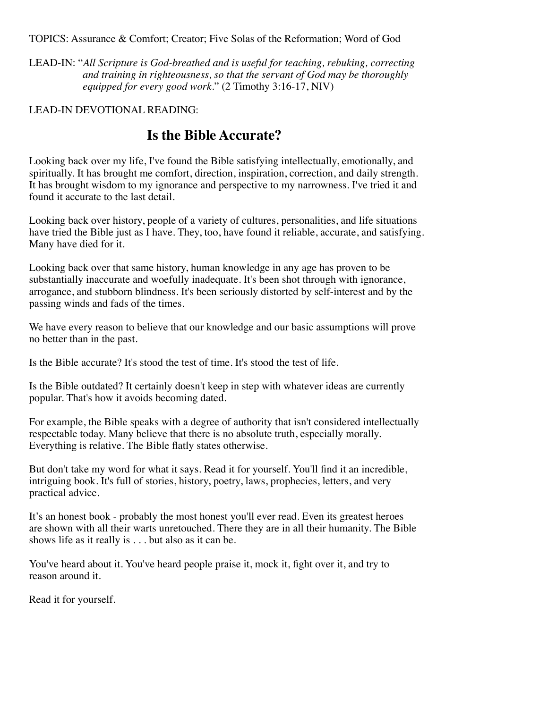TOPICS: Assurance & Comfort; Creator; Five Solas of the Reformation; Word of God

LEAD-IN: "*All Scripture is God-breathed and is useful for teaching, rebuking, correcting and training in righteousness, so that the servant of God may be thoroughly equipped for every good work.*" (2 Timothy 3:16-17, NIV)

## LEAD-IN DEVOTIONAL READING:

## **Is the Bible Accurate?**

Looking back over my life, I've found the Bible satisfying intellectually, emotionally, and spiritually. It has brought me comfort, direction, inspiration, correction, and daily strength. It has brought wisdom to my ignorance and perspective to my narrowness. I've tried it and found it accurate to the last detail.

Looking back over history, people of a variety of cultures, personalities, and life situations have tried the Bible just as I have. They, too, have found it reliable, accurate, and satisfying. Many have died for it.

Looking back over that same history, human knowledge in any age has proven to be substantially inaccurate and woefully inadequate. It's been shot through with ignorance, arrogance, and stubborn blindness. It's been seriously distorted by self-interest and by the passing winds and fads of the times.

We have every reason to believe that our knowledge and our basic assumptions will prove no better than in the past.

Is the Bible accurate? It's stood the test of time. It's stood the test of life.

Is the Bible outdated? It certainly doesn't keep in step with whatever ideas are currently popular. That's how it avoids becoming dated.

For example, the Bible speaks with a degree of authority that isn't considered intellectually respectable today. Many believe that there is no absolute truth, especially morally. Everything is relative. The Bible flatly states otherwise.

But don't take my word for what it says. Read it for yourself. You'll find it an incredible, intriguing book. It's full of stories, history, poetry, laws, prophecies, letters, and very practical advice.

It's an honest book - probably the most honest you'll ever read. Even its greatest heroes are shown with all their warts unretouched. There they are in all their humanity. The Bible shows life as it really is . . . but also as it can be.

You've heard about it. You've heard people praise it, mock it, fight over it, and try to reason around it.

Read it for yourself.